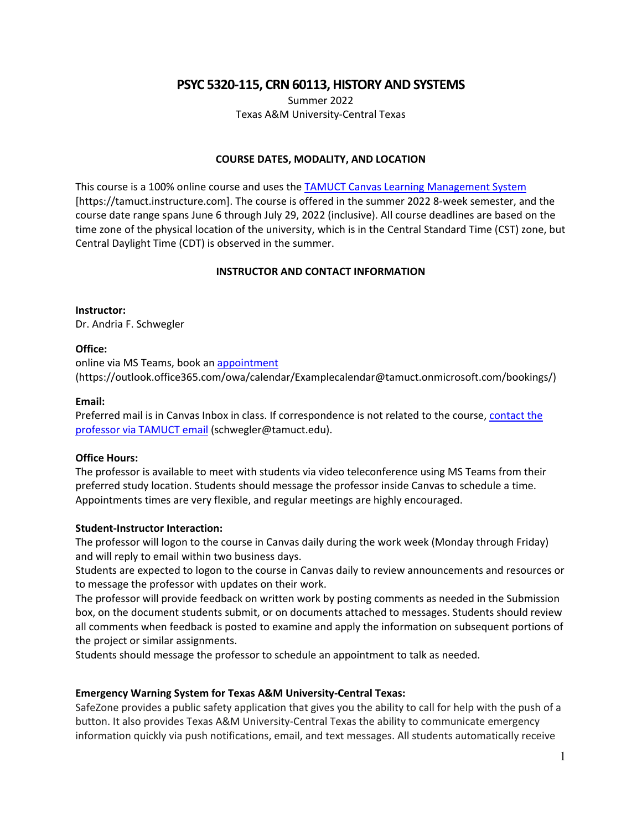**PSYC 5320-115, CRN 60113, HISTORY AND SYSTEMS**

Summer 2022 Texas A&M University-Central Texas

#### **COURSE DATES, MODALITY, AND LOCATION**

This course is a 100% online course and uses th[e TAMUCT Canvas Learning Management System](https://tamuct.instructure.com/) [https://tamuct.instructure.com]. The course is offered in the summer 2022 8-week semester, and the course date range spans June 6 through July 29, 2022 (inclusive). All course deadlines are based on the time zone of the physical location of the university, which is in the Central Standard Time (CST) zone, but Central Daylight Time (CDT) is observed in the summer.

### **INSTRUCTOR AND CONTACT INFORMATION**

#### **Instructor:**

Dr. Andria F. Schwegler

#### **Office:**

online via MS Teams, book an [appointment](https://outlook.office365.com/owa/calendar/Examplecalendar@tamuct.onmicrosoft.com/bookings/) (https://outlook.office365.com/owa/calendar/Examplecalendar@tamuct.onmicrosoft.com/bookings/)

#### **Email:**

Preferred mail is in Canvas Inbox in class. If correspondence is not related to the course, [contact the](mailto:schwegler@tamuct.edu)  [professor via TAMUCT email](mailto:schwegler@tamuct.edu) (schwegler@tamuct.edu).

#### **Office Hours:**

The professor is available to meet with students via video teleconference using MS Teams from their preferred study location. Students should message the professor inside Canvas to schedule a time. Appointments times are very flexible, and regular meetings are highly encouraged.

#### **Student-Instructor Interaction:**

The professor will logon to the course in Canvas daily during the work week (Monday through Friday) and will reply to email within two business days.

Students are expected to logon to the course in Canvas daily to review announcements and resources or to message the professor with updates on their work.

The professor will provide feedback on written work by posting comments as needed in the Submission box, on the document students submit, or on documents attached to messages. Students should review all comments when feedback is posted to examine and apply the information on subsequent portions of the project or similar assignments.

Students should message the professor to schedule an appointment to talk as needed.

#### **Emergency Warning System for Texas A&M University-Central Texas:**

SafeZone provides a public safety application that gives you the ability to call for help with the push of a button. It also provides Texas A&M University-Central Texas the ability to communicate emergency information quickly via push notifications, email, and text messages. All students automatically receive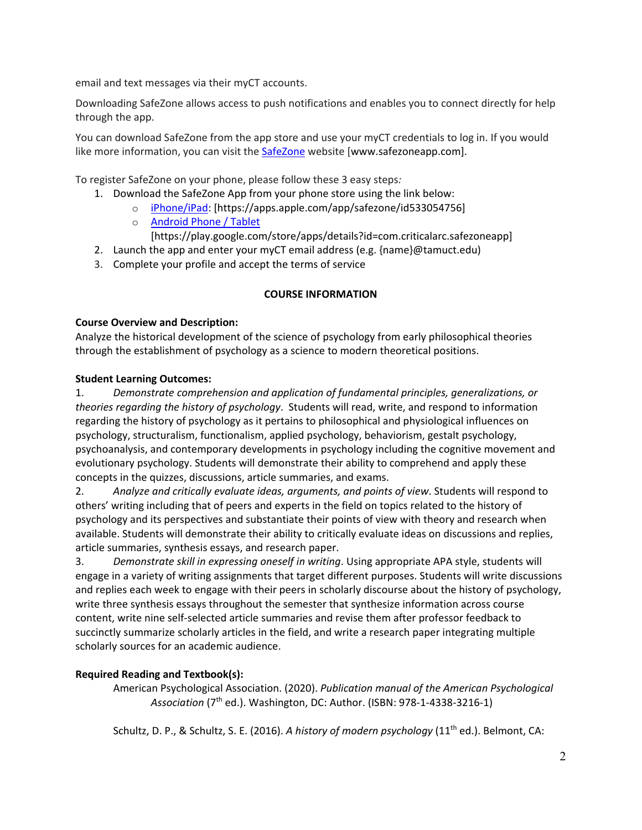email and text messages via their myCT accounts.

Downloading SafeZone allows access to push notifications and enables you to connect directly for help through the app.

You can download SafeZone from the app store and use your myCT credentials to log in. If you would like more information, you can visit the [SafeZone](http://www.safezoneapp.com/) website [www.safezoneapp.com].

To register SafeZone on your phone, please follow these 3 easy steps*:*

- 1. Download the SafeZone App from your phone store using the link below:
	- o [iPhone/iPad:](https://apps.apple.com/app/safezone/id533054756) [https://apps.apple.com/app/safezone/id533054756]
	- o [Android Phone / Tablet](https://play.google.com/store/apps/details?id=com.criticalarc.safezoneapp) [https://play.google.com/store/apps/details?id=com.criticalarc.safezoneapp]
- 2. Launch the app and enter your myCT email address (e.g. {name}@tamuct.edu)
- 3. Complete your profile and accept the terms of service

# **COURSE INFORMATION**

### **Course Overview and Description:**

Analyze the historical development of the science of psychology from early philosophical theories through the establishment of psychology as a science to modern theoretical positions.

# **Student Learning Outcomes:**

1. *Demonstrate comprehension and application of fundamental principles, generalizations, or theories regarding the history of psychology*. Students will read, write, and respond to information regarding the history of psychology as it pertains to philosophical and physiological influences on psychology, structuralism, functionalism, applied psychology, behaviorism, gestalt psychology, psychoanalysis, and contemporary developments in psychology including the cognitive movement and evolutionary psychology. Students will demonstrate their ability to comprehend and apply these concepts in the quizzes, discussions, article summaries, and exams.

2. *Analyze and critically evaluate ideas, arguments, and points of view*. Students will respond to others' writing including that of peers and experts in the field on topics related to the history of psychology and its perspectives and substantiate their points of view with theory and research when available. Students will demonstrate their ability to critically evaluate ideas on discussions and replies, article summaries, synthesis essays, and research paper.

3. *Demonstrate skill in expressing oneself in writing*. Using appropriate APA style, students will engage in a variety of writing assignments that target different purposes. Students will write discussions and replies each week to engage with their peers in scholarly discourse about the history of psychology, write three synthesis essays throughout the semester that synthesize information across course content, write nine self-selected article summaries and revise them after professor feedback to succinctly summarize scholarly articles in the field, and write a research paper integrating multiple scholarly sources for an academic audience.

# **Required Reading and Textbook(s):**

American Psychological Association. (2020). *Publication manual of the American Psychological Association* (7th ed.). Washington, DC: Author. (ISBN: 978-1-4338-3216-1)

Schultz, D. P., & Schultz, S. E. (2016). *A history of modern psychology* (11th ed.). Belmont, CA: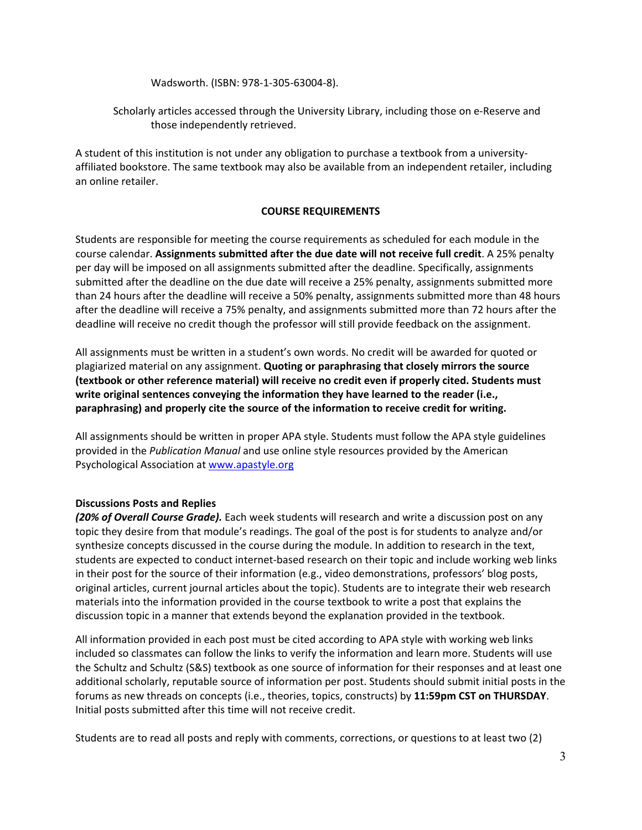Wadsworth. (ISBN: 978-1-305-63004-8).

### Scholarly articles accessed through the University Library, including those on e-Reserve and those independently retrieved.

A student of this institution is not under any obligation to purchase a textbook from a universityaffiliated bookstore. The same textbook may also be available from an independent retailer, including an online retailer.

### **COURSE REQUIREMENTS**

Students are responsible for meeting the course requirements as scheduled for each module in the course calendar. **Assignments submitted after the due date will not receive full credit**. A 25% penalty per day will be imposed on all assignments submitted after the deadline. Specifically, assignments submitted after the deadline on the due date will receive a 25% penalty, assignments submitted more than 24 hours after the deadline will receive a 50% penalty, assignments submitted more than 48 hours after the deadline will receive a 75% penalty, and assignments submitted more than 72 hours after the deadline will receive no credit though the professor will still provide feedback on the assignment.

All assignments must be written in a student's own words. No credit will be awarded for quoted or plagiarized material on any assignment. **Quoting or paraphrasing that closely mirrors the source (textbook or other reference material) will receive no credit even if properly cited. Students must write original sentences conveying the information they have learned to the reader (i.e., paraphrasing) and properly cite the source of the information to receive credit for writing.** 

All assignments should be written in proper APA style. Students must follow the APA style guidelines provided in the *Publication Manual* and use online style resources provided by the American Psychological Association at [www.apastyle.org](http://www.apastyle.org/)

### **Discussions Posts and Replies**

*(20% of Overall Course Grade).* Each week students will research and write a discussion post on any topic they desire from that module's readings. The goal of the post is for students to analyze and/or synthesize concepts discussed in the course during the module. In addition to research in the text, students are expected to conduct internet-based research on their topic and include working web links in their post for the source of their information (e.g., video demonstrations, professors' blog posts, original articles, current journal articles about the topic). Students are to integrate their web research materials into the information provided in the course textbook to write a post that explains the discussion topic in a manner that extends beyond the explanation provided in the textbook.

All information provided in each post must be cited according to APA style with working web links included so classmates can follow the links to verify the information and learn more. Students will use the Schultz and Schultz (S&S) textbook as one source of information for their responses and at least one additional scholarly, reputable source of information per post. Students should submit initial posts in the forums as new threads on concepts (i.e., theories, topics, constructs) by **11:59pm CST on THURSDAY**. Initial posts submitted after this time will not receive credit.

Students are to read all posts and reply with comments, corrections, or questions to at least two (2)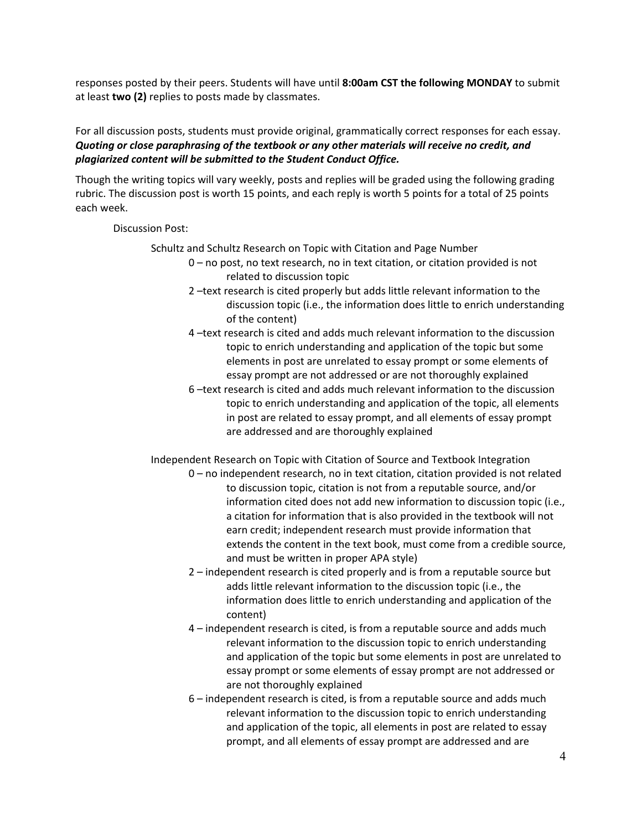responses posted by their peers. Students will have until **8:00am CST the following MONDAY** to submit at least **two (2)** replies to posts made by classmates.

For all discussion posts, students must provide original, grammatically correct responses for each essay. *Quoting or close paraphrasing of the textbook or any other materials will receive no credit, and plagiarized content will be submitted to the Student Conduct Office.*

Though the writing topics will vary weekly, posts and replies will be graded using the following grading rubric. The discussion post is worth 15 points, and each reply is worth 5 points for a total of 25 points each week.

### Discussion Post:

Schultz and Schultz Research on Topic with Citation and Page Number

- 0 no post, no text research, no in text citation, or citation provided is not related to discussion topic
- 2 –text research is cited properly but adds little relevant information to the discussion topic (i.e., the information does little to enrich understanding of the content)
- 4 –text research is cited and adds much relevant information to the discussion topic to enrich understanding and application of the topic but some elements in post are unrelated to essay prompt or some elements of essay prompt are not addressed or are not thoroughly explained
- 6 –text research is cited and adds much relevant information to the discussion topic to enrich understanding and application of the topic, all elements in post are related to essay prompt, and all elements of essay prompt are addressed and are thoroughly explained

Independent Research on Topic with Citation of Source and Textbook Integration

- 0 no independent research, no in text citation, citation provided is not related to discussion topic, citation is not from a reputable source, and/or information cited does not add new information to discussion topic (i.e., a citation for information that is also provided in the textbook will not earn credit; independent research must provide information that extends the content in the text book, must come from a credible source, and must be written in proper APA style)
- 2 independent research is cited properly and is from a reputable source but adds little relevant information to the discussion topic (i.e., the information does little to enrich understanding and application of the content)
- 4 independent research is cited, is from a reputable source and adds much relevant information to the discussion topic to enrich understanding and application of the topic but some elements in post are unrelated to essay prompt or some elements of essay prompt are not addressed or are not thoroughly explained
- 6 independent research is cited, is from a reputable source and adds much relevant information to the discussion topic to enrich understanding and application of the topic, all elements in post are related to essay prompt, and all elements of essay prompt are addressed and are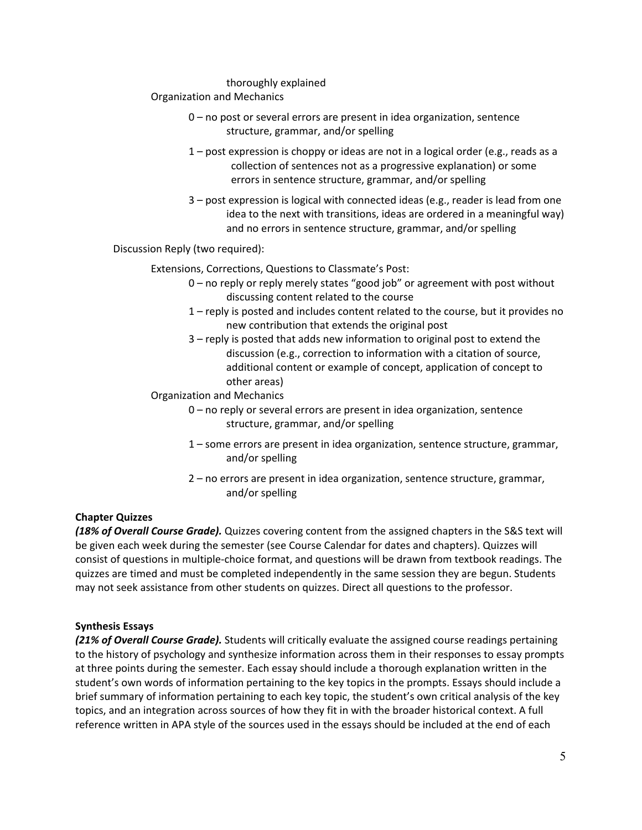#### thoroughly explained

#### Organization and Mechanics

- 0 no post or several errors are present in idea organization, sentence structure, grammar, and/or spelling
- 1 post expression is choppy or ideas are not in a logical order (e.g., reads as a collection of sentences not as a progressive explanation) or some errors in sentence structure, grammar, and/or spelling
- 3 post expression is logical with connected ideas (e.g., reader is lead from one idea to the next with transitions, ideas are ordered in a meaningful way) and no errors in sentence structure, grammar, and/or spelling

Discussion Reply (two required):

#### Extensions, Corrections, Questions to Classmate's Post:

- 0 no reply or reply merely states "good job" or agreement with post without discussing content related to the course
- 1 reply is posted and includes content related to the course, but it provides no new contribution that extends the original post
- 3 reply is posted that adds new information to original post to extend the discussion (e.g., correction to information with a citation of source, additional content or example of concept, application of concept to other areas)
- Organization and Mechanics
	- 0 no reply or several errors are present in idea organization, sentence structure, grammar, and/or spelling
		- 1 some errors are present in idea organization, sentence structure, grammar, and/or spelling
		- 2 no errors are present in idea organization, sentence structure, grammar, and/or spelling

### **Chapter Quizzes**

*(18% of Overall Course Grade).* Quizzes covering content from the assigned chapters in the S&S text will be given each week during the semester (see Course Calendar for dates and chapters). Quizzes will consist of questions in multiple-choice format, and questions will be drawn from textbook readings. The quizzes are timed and must be completed independently in the same session they are begun. Students may not seek assistance from other students on quizzes. Direct all questions to the professor.

#### **Synthesis Essays**

*(21% of Overall Course Grade).* Students will critically evaluate the assigned course readings pertaining to the history of psychology and synthesize information across them in their responses to essay prompts at three points during the semester. Each essay should include a thorough explanation written in the student's own words of information pertaining to the key topics in the prompts. Essays should include a brief summary of information pertaining to each key topic, the student's own critical analysis of the key topics, and an integration across sources of how they fit in with the broader historical context. A full reference written in APA style of the sources used in the essays should be included at the end of each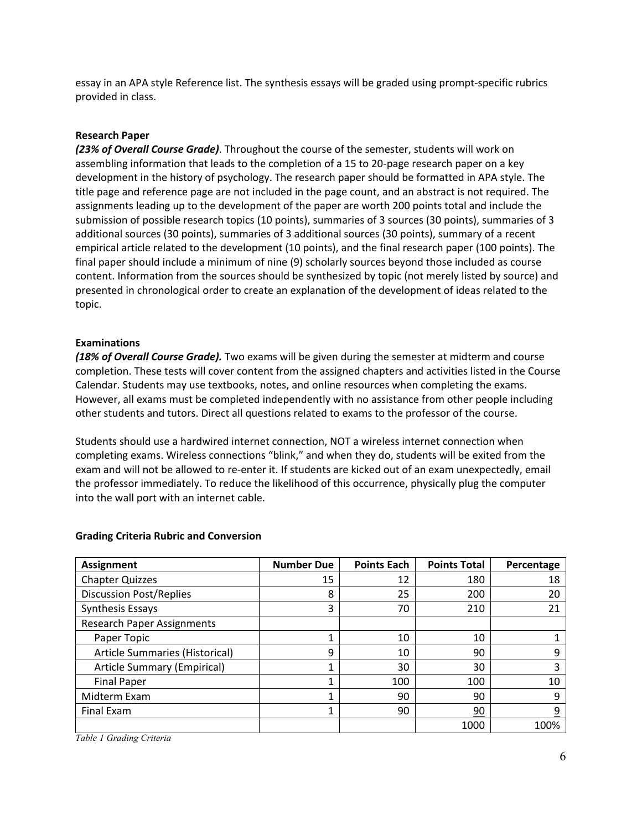essay in an APA style Reference list. The synthesis essays will be graded using prompt-specific rubrics provided in class.

#### **Research Paper**

*(23% of Overall Course Grade)*. Throughout the course of the semester, students will work on assembling information that leads to the completion of a 15 to 20-page research paper on a key development in the history of psychology. The research paper should be formatted in APA style. The title page and reference page are not included in the page count, and an abstract is not required. The assignments leading up to the development of the paper are worth 200 points total and include the submission of possible research topics (10 points), summaries of 3 sources (30 points), summaries of 3 additional sources (30 points), summaries of 3 additional sources (30 points), summary of a recent empirical article related to the development (10 points), and the final research paper (100 points). The final paper should include a minimum of nine (9) scholarly sources beyond those included as course content. Information from the sources should be synthesized by topic (not merely listed by source) and presented in chronological order to create an explanation of the development of ideas related to the topic.

#### **Examinations**

*(18% of Overall Course Grade).* Two exams will be given during the semester at midterm and course completion. These tests will cover content from the assigned chapters and activities listed in the Course Calendar. Students may use textbooks, notes, and online resources when completing the exams. However, all exams must be completed independently with no assistance from other people including other students and tutors. Direct all questions related to exams to the professor of the course.

Students should use a hardwired internet connection, NOT a wireless internet connection when completing exams. Wireless connections "blink," and when they do, students will be exited from the exam and will not be allowed to re-enter it. If students are kicked out of an exam unexpectedly, email the professor immediately. To reduce the likelihood of this occurrence, physically plug the computer into the wall port with an internet cable.

| <b>Assignment</b>                 | <b>Number Due</b> | <b>Points Each</b> | <b>Points Total</b> | Percentage |
|-----------------------------------|-------------------|--------------------|---------------------|------------|
| <b>Chapter Quizzes</b>            | 15                | 12                 | 180                 | 18         |
| <b>Discussion Post/Replies</b>    | 8                 | 25                 | 200                 | 20         |
| Synthesis Essays                  | 3                 | 70                 | 210                 | 21         |
| <b>Research Paper Assignments</b> |                   |                    |                     |            |
| Paper Topic                       |                   | 10                 | 10                  |            |
| Article Summaries (Historical)    | 9                 | 10                 | 90                  | 9          |
| Article Summary (Empirical)       |                   | 30                 | 30                  | 3          |
| <b>Final Paper</b>                |                   | 100                | 100                 | 10         |
| Midterm Exam                      |                   | 90                 | 90                  | 9          |
| Final Exam                        |                   | 90                 | 90                  | 9          |
|                                   |                   |                    | 1000                | 100%       |

#### **Grading Criteria Rubric and Conversion**

*Table 1 Grading Criteria*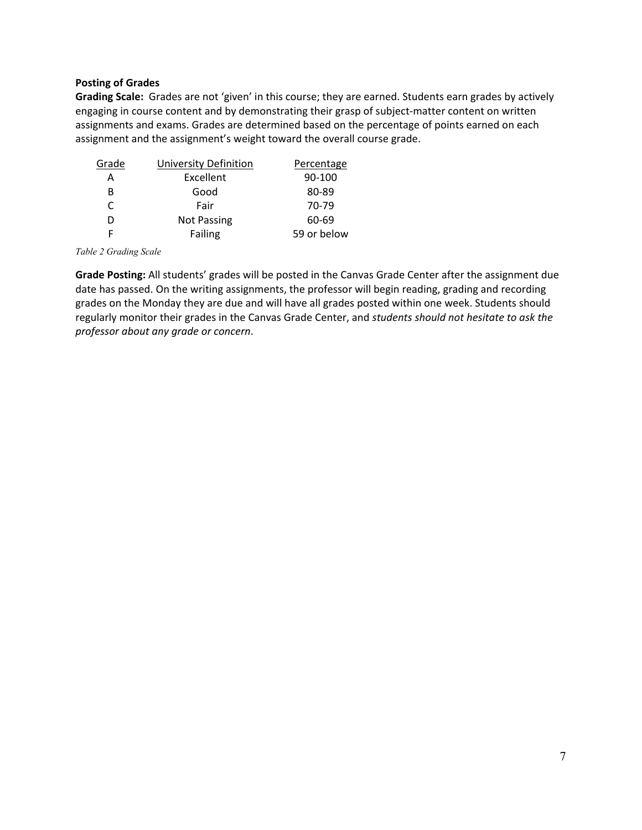### **Posting of Grades**

**Grading Scale:** Grades are not 'given' in this course; they are earned. Students earn grades by actively engaging in course content and by demonstrating their grasp of subject-matter content on written assignments and exams. Grades are determined based on the percentage of points earned on each assignment and the assignment's weight toward the overall course grade.

| Grade | <b>University Definition</b> | Percentage  |
|-------|------------------------------|-------------|
| Α     | Excellent                    | 90-100      |
| В     | Good                         | 80-89       |
| C     | Fair                         | 70-79       |
| D     | <b>Not Passing</b>           | 60-69       |
|       | Failing                      | 59 or below |

*Table 2 Grading Scale*

**Grade Posting:** All students' grades will be posted in the Canvas Grade Center after the assignment due date has passed. On the writing assignments, the professor will begin reading, grading and recording grades on the Monday they are due and will have all grades posted within one week. Students should regularly monitor their grades in the Canvas Grade Center, and *students should not hesitate to ask the professor about any grade or concern*.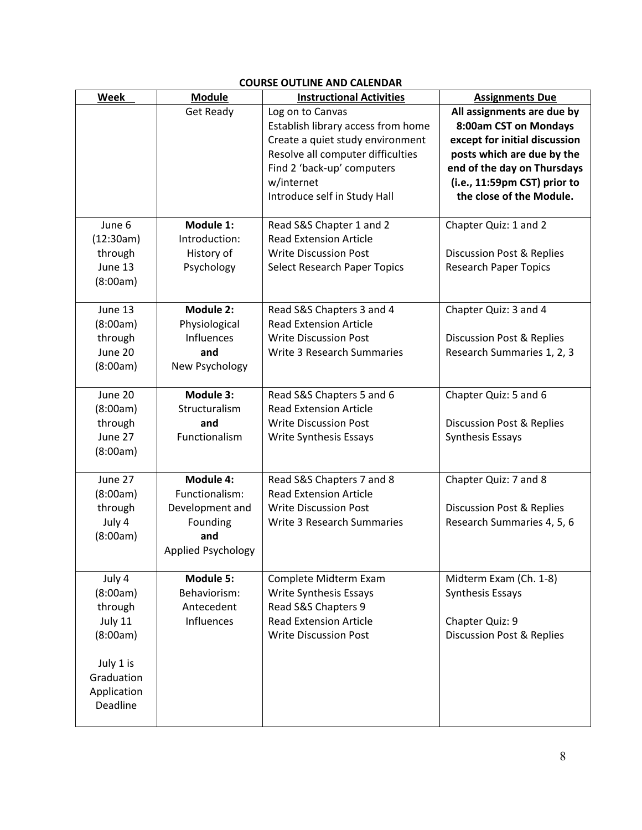| Week        | <b>Module</b>      | <b>Instructional Activities</b>     | <b>Assignments Due</b>               |  |
|-------------|--------------------|-------------------------------------|--------------------------------------|--|
|             | <b>Get Ready</b>   | Log on to Canvas                    | All assignments are due by           |  |
|             |                    | Establish library access from home  | 8:00am CST on Mondays                |  |
|             |                    | Create a quiet study environment    | except for initial discussion        |  |
|             |                    | Resolve all computer difficulties   | posts which are due by the           |  |
|             |                    | Find 2 'back-up' computers          | end of the day on Thursdays          |  |
|             |                    | w/internet                          | (i.e., 11:59pm CST) prior to         |  |
|             |                    | Introduce self in Study Hall        | the close of the Module.             |  |
|             |                    |                                     |                                      |  |
| June 6      | Module 1:          | Read S&S Chapter 1 and 2            | Chapter Quiz: 1 and 2                |  |
| (12:30am)   | Introduction:      | <b>Read Extension Article</b>       |                                      |  |
| through     | History of         | <b>Write Discussion Post</b>        | Discussion Post & Replies            |  |
| June 13     | Psychology         | <b>Select Research Paper Topics</b> | <b>Research Paper Topics</b>         |  |
| (8:00am)    |                    |                                     |                                      |  |
|             |                    |                                     |                                      |  |
| June 13     | Module 2:          | Read S&S Chapters 3 and 4           | Chapter Quiz: 3 and 4                |  |
| (8:00am)    | Physiological      | <b>Read Extension Article</b>       |                                      |  |
| through     | <b>Influences</b>  | <b>Write Discussion Post</b>        | <b>Discussion Post &amp; Replies</b> |  |
| June 20     | and                | Write 3 Research Summaries          | Research Summaries 1, 2, 3           |  |
| (8:00am)    | New Psychology     |                                     |                                      |  |
| June 20     | Module 3:          | Read S&S Chapters 5 and 6           | Chapter Quiz: 5 and 6                |  |
| (8:00am)    | Structuralism      | <b>Read Extension Article</b>       |                                      |  |
| through     | and                | <b>Write Discussion Post</b>        | <b>Discussion Post &amp; Replies</b> |  |
| June 27     | Functionalism      | Write Synthesis Essays              | Synthesis Essays                     |  |
| (8:00am)    |                    |                                     |                                      |  |
|             |                    |                                     |                                      |  |
| June 27     | Module 4:          | Read S&S Chapters 7 and 8           | Chapter Quiz: 7 and 8                |  |
| (8:00am)    | Functionalism:     | <b>Read Extension Article</b>       |                                      |  |
| through     | Development and    | <b>Write Discussion Post</b>        | <b>Discussion Post &amp; Replies</b> |  |
| July 4      | Founding           | Write 3 Research Summaries          | Research Summaries 4, 5, 6           |  |
| (8:00am)    | and                |                                     |                                      |  |
|             | Applied Psychology |                                     |                                      |  |
|             |                    |                                     |                                      |  |
| July 4      | Module 5:          | Complete Midterm Exam               | Midterm Exam (Ch. 1-8)               |  |
| (8:00am)    | Behaviorism:       | Write Synthesis Essays              | Synthesis Essays                     |  |
| through     | Antecedent         | Read S&S Chapters 9                 |                                      |  |
| July 11     | Influences         | <b>Read Extension Article</b>       | Chapter Quiz: 9                      |  |
| (8:00am)    |                    | <b>Write Discussion Post</b>        | <b>Discussion Post &amp; Replies</b> |  |
| July 1 is   |                    |                                     |                                      |  |
| Graduation  |                    |                                     |                                      |  |
| Application |                    |                                     |                                      |  |
| Deadline    |                    |                                     |                                      |  |
|             |                    |                                     |                                      |  |

# **COURSE OUTLINE AND CALENDAR**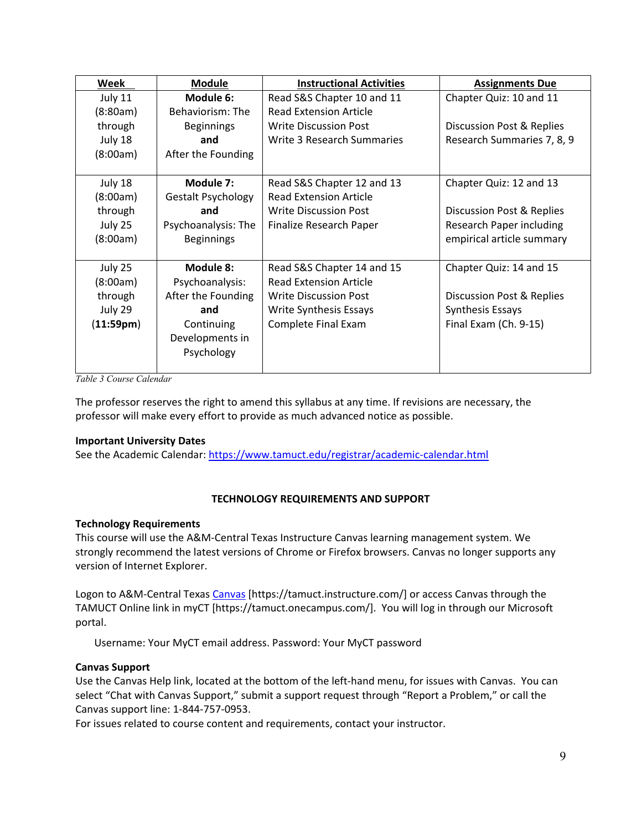| Week      | <b>Module</b>             | <b>Instructional Activities</b> | <b>Assignments Due</b>     |
|-----------|---------------------------|---------------------------------|----------------------------|
| July 11   | Module 6:                 | Read S&S Chapter 10 and 11      | Chapter Quiz: 10 and 11    |
| (8:80am)  | Behaviorism: The          | <b>Read Extension Article</b>   |                            |
| through   | <b>Beginnings</b>         | <b>Write Discussion Post</b>    | Discussion Post & Replies  |
| July 18   | and                       | Write 3 Research Summaries      | Research Summaries 7, 8, 9 |
| (8:00am)  | After the Founding        |                                 |                            |
|           |                           |                                 |                            |
| July 18   | Module 7:                 | Read S&S Chapter 12 and 13      | Chapter Quiz: 12 and 13    |
| (8:00am)  | <b>Gestalt Psychology</b> | <b>Read Extension Article</b>   |                            |
| through   | and                       | <b>Write Discussion Post</b>    | Discussion Post & Replies  |
| July 25   | Psychoanalysis: The       | Finalize Research Paper         | Research Paper including   |
| (8:00am)  | <b>Beginnings</b>         |                                 | empirical article summary  |
|           |                           |                                 |                            |
| July 25   | Module 8:                 | Read S&S Chapter 14 and 15      | Chapter Quiz: 14 and 15    |
| (8:00am)  | Psychoanalysis:           | <b>Read Extension Article</b>   |                            |
| through   | After the Founding        | <b>Write Discussion Post</b>    | Discussion Post & Replies  |
| July 29   | and                       | Write Synthesis Essays          | <b>Synthesis Essays</b>    |
| (11:59pm) | Continuing                | Complete Final Exam             | Final Exam (Ch. 9-15)      |
|           | Developments in           |                                 |                            |
|           | Psychology                |                                 |                            |
|           |                           |                                 |                            |

*Table 3 Course Calendar*

The professor reserves the right to amend this syllabus at any time. If revisions are necessary, the professor will make every effort to provide as much advanced notice as possible.

### **Important University Dates**

See the Academic Calendar:<https://www.tamuct.edu/registrar/academic-calendar.html>

### **TECHNOLOGY REQUIREMENTS AND SUPPORT**

#### **Technology Requirements**

This course will use the A&M-Central Texas Instructure Canvas learning management system. We strongly recommend the latest versions of Chrome or Firefox browsers. Canvas no longer supports any version of Internet Explorer.

Logon to A&M-Central Texas [Canvas](https://tamuct.instructure.com/) [https://tamuct.instructure.com/] or access Canvas through the TAMUCT Online link in myCT [https://tamuct.onecampus.com/]. You will log in through our Microsoft portal.

Username: Your MyCT email address. Password: Your MyCT password

### **Canvas Support**

Use the Canvas Help link, located at the bottom of the left-hand menu, for issues with Canvas. You can select "Chat with Canvas Support," submit a support request through "Report a Problem," or call the Canvas support line: 1-844-757-0953.

For issues related to course content and requirements, contact your instructor.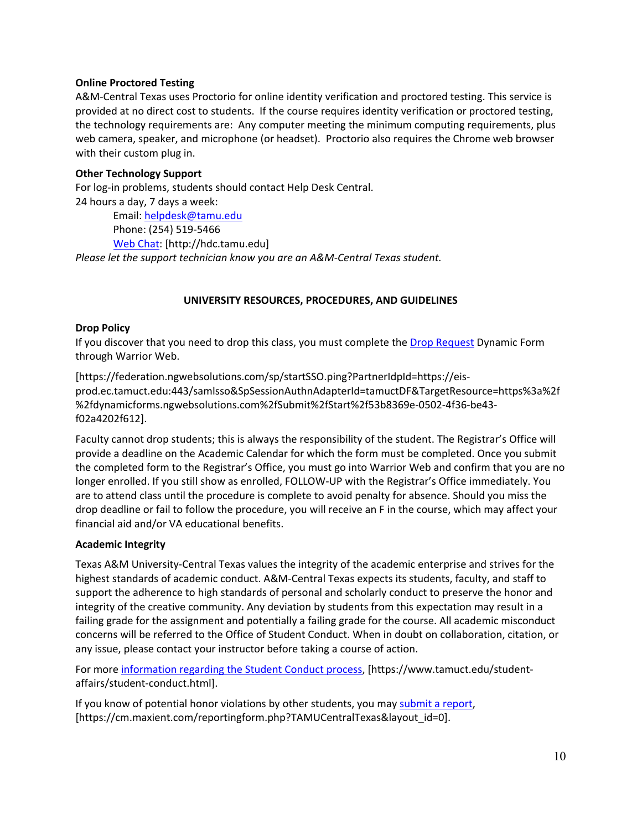### **Online Proctored Testing**

A&M-Central Texas uses Proctorio for online identity verification and proctored testing. This service is provided at no direct cost to students. If the course requires identity verification or proctored testing, the technology requirements are: Any computer meeting the minimum computing requirements, plus web camera, speaker, and microphone (or headset). Proctorio also requires the Chrome web browser with their custom plug in.

#### **Other Technology Support**

For log-in problems, students should contact Help Desk Central. 24 hours a day, 7 days a week: Email: [helpdesk@tamu.edu](mailto:helpdesk@tamu.edu)

Phone: (254) 519-5466

[Web Chat:](http://hdc.tamu.edu/) [http://hdc.tamu.edu]

*Please let the support technician know you are an A&M-Central Texas student.*

#### **UNIVERSITY RESOURCES, PROCEDURES, AND GUIDELINES**

#### **Drop Policy**

If you discover that you need to drop this class, you must complete the [Drop Request](https://federation.ngwebsolutions.com/sp/startSSO.ping?PartnerIdpId=https://eis-prod.ec.tamuct.edu:443/samlsso&SpSessionAuthnAdapterId=tamuctDF&TargetResource=https%3a%2f%2fdynamicforms.ngwebsolutions.com%2fSubmit%2fStart%2f53b8369e-0502-4f36-be43-f02a4202f612) Dynamic Form through Warrior Web.

[https://federation.ngwebsolutions.com/sp/startSSO.ping?PartnerIdpId=https://eisprod.ec.tamuct.edu:443/samlsso&SpSessionAuthnAdapterId=tamuctDF&TargetResource=https%3a%2f %2fdynamicforms.ngwebsolutions.com%2fSubmit%2fStart%2f53b8369e-0502-4f36-be43 f02a4202f612].

Faculty cannot drop students; this is always the responsibility of the student. The Registrar's Office will provide a deadline on the Academic Calendar for which the form must be completed. Once you submit the completed form to the Registrar's Office, you must go into Warrior Web and confirm that you are no longer enrolled. If you still show as enrolled, FOLLOW-UP with the Registrar's Office immediately. You are to attend class until the procedure is complete to avoid penalty for absence. Should you miss the drop deadline or fail to follow the procedure, you will receive an F in the course, which may affect your financial aid and/or VA educational benefits.

#### **Academic Integrity**

Texas A&M University-Central Texas values the integrity of the academic enterprise and strives for the highest standards of academic conduct. A&M-Central Texas expects its students, faculty, and staff to support the adherence to high standards of personal and scholarly conduct to preserve the honor and integrity of the creative community. Any deviation by students from this expectation may result in a failing grade for the assignment and potentially a failing grade for the course. All academic misconduct concerns will be referred to the Office of Student Conduct. When in doubt on collaboration, citation, or any issue, please contact your instructor before taking a course of action.

For more [information](https://nam04.safelinks.protection.outlook.com/?url=https%3A%2F%2Fwww.tamuct.edu%2Fstudent-affairs%2Fstudent-conduct.html&data=04%7C01%7Clisa.bunkowski%40tamuct.edu%7Ccfb6e486f24745f53e1a08d910055cb2%7C9eed4e3000f744849ff193ad8005acec%7C0%7C0%7C637558437485252160%7CUnknown%7CTWFpbGZsb3d8eyJWIjoiMC4wLjAwMDAiLCJQIjoiV2luMzIiLCJBTiI6Ik1haWwiLCJXVCI6Mn0%3D%7C1000&sdata=yjftDEVHvLX%2FhM%2FcFU0B99krV1RgEWR%2BJ%2BhvtoR6TYk%3D&reserved=0) regarding the Student Conduct process, [https://www.tamuct.edu/studentaffairs/student-conduct.html].

If you know of potential honor violations by other students, you may [submit](https://nam04.safelinks.protection.outlook.com/?url=https%3A%2F%2Fcm.maxient.com%2Freportingform.php%3FTAMUCentralTexas%26layout_id%3D0&data=04%7C01%7Clisa.bunkowski%40tamuct.edu%7Ccfb6e486f24745f53e1a08d910055cb2%7C9eed4e3000f744849ff193ad8005acec%7C0%7C0%7C637558437485262157%7CUnknown%7CTWFpbGZsb3d8eyJWIjoiMC4wLjAwMDAiLCJQIjoiV2luMzIiLCJBTiI6Ik1haWwiLCJXVCI6Mn0%3D%7C1000&sdata=CXGkOa6uPDPX1IMZ87z3aZDq2n91xfHKu4MMS43Ejjk%3D&reserved=0) a report, [https://cm.maxient.com/reportingform.php?TAMUCentralTexas&layout\_id=0].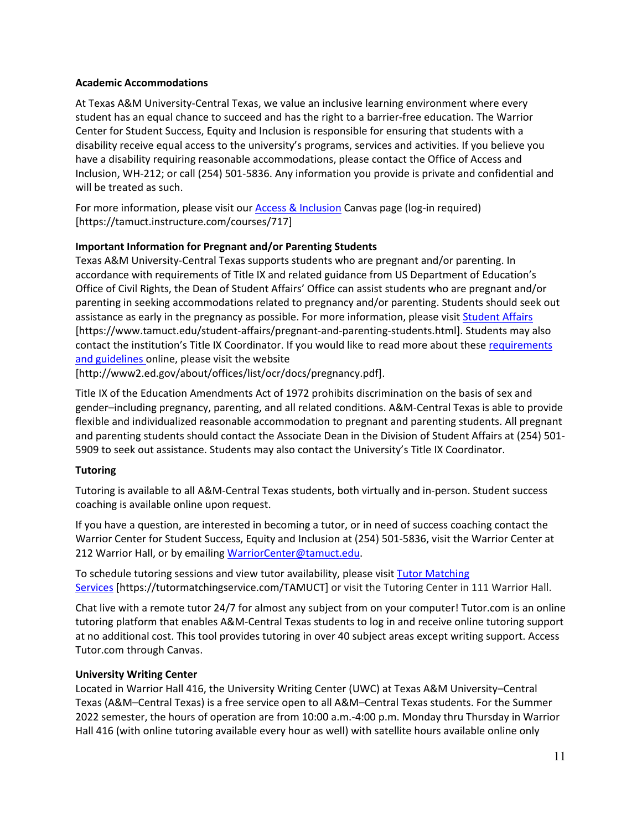### **Academic Accommodations**

At Texas A&M University-Central Texas, we value an inclusive learning environment where every student has an equal chance to succeed and has the right to a barrier-free education. The Warrior Center for Student Success, Equity and Inclusion is responsible for ensuring that students with a disability receive equal access to the university's programs, services and activities. If you believe you have a disability requiring reasonable accommodations, please contact the Office of Access and Inclusion, WH-212; or call (254) 501-5836. Any information you provide is private and confidential and will be treated as such.

For more information, please visit ou[r Access & Inclusion](https://tamuct.instructure.com/courses/717) Canvas page (log-in required) [https://tamuct.instructure.com/courses/717]

# **Important Information for Pregnant and/or Parenting Students**

Texas A&M University-Central Texas supports students who are pregnant and/or parenting. In accordance with requirements of Title IX and related guidance from US Department of Education's Office of Civil Rights, the Dean of Student Affairs' Office can assist students who are pregnant and/or parenting in seeking accommodations related to pregnancy and/or parenting. Students should seek out assistance as early in the pregnancy as possible. For more information, please visi[t Student Affairs](https://www.tamuct.edu/student-affairs/pregnant-and-parenting-students.html) [https://www.tamuct.edu/student-affairs/pregnant-and-parenting-students.html]. Students may also contact the institution's Title IX Coordinator. If you would like to read more about these requirements [and guidelines](http://www2.ed.gov/about/offices/list/ocr/docs/pregnancy.pdf) online, please visit the website

[http://www2.ed.gov/about/offices/list/ocr/docs/pregnancy.pdf].

Title IX of the Education Amendments Act of 1972 prohibits discrimination on the basis of sex and gender–including pregnancy, parenting, and all related conditions. A&M-Central Texas is able to provide flexible and individualized reasonable accommodation to pregnant and parenting students. All pregnant and parenting students should contact the Associate Dean in the Division of Student Affairs at (254) 501- 5909 to seek out assistance. Students may also contact the University's Title IX Coordinator.

### **Tutoring**

Tutoring is available to all A&M-Central Texas students, both virtually and in-person. Student success coaching is available online upon request.

If you have a question, are interested in becoming a tutor, or in need of success coaching contact the Warrior Center for Student Success, Equity and Inclusion at (254) 501-5836, visit the Warrior Center at 212 Warrior Hall, or by emailing [WarriorCenter@tamuct.edu.](mailto:WarriorCenter@tamuct.edu)

To schedule tutoring sessions and view tutor availability, please visit Tutor [Matching](https://tutormatchingservice.com/TAMUCT) [Services](https://tutormatchingservice.com/TAMUCT) [https://tutormatchingservice.com/TAMUCT] or visit the Tutoring Center in 111 Warrior Hall.

Chat live with a remote tutor 24/7 for almost any subject from on your computer! Tutor.com is an online tutoring platform that enables A&M-Central Texas students to log in and receive online tutoring support at no additional cost. This tool provides tutoring in over 40 subject areas except writing support. Access Tutor.com through Canvas.

### **University Writing Center**

Located in Warrior Hall 416, the University Writing Center (UWC) at Texas A&M University–Central Texas (A&M–Central Texas) is a free service open to all A&M–Central Texas students. For the Summer 2022 semester, the hours of operation are from 10:00 a.m.-4:00 p.m. Monday thru Thursday in Warrior Hall 416 (with online tutoring available every hour as well) with satellite hours available online only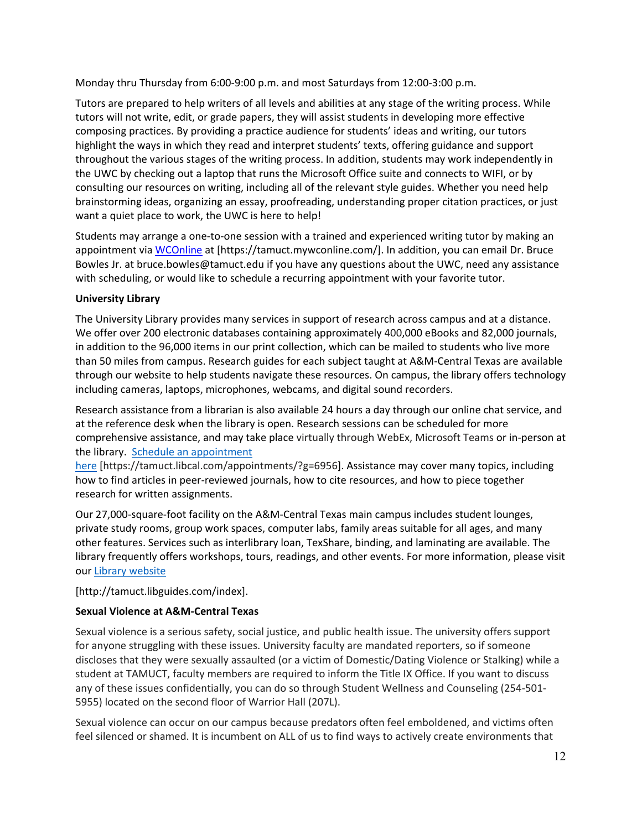Monday thru Thursday from 6:00-9:00 p.m. and most Saturdays from 12:00-3:00 p.m.

Tutors are prepared to help writers of all levels and abilities at any stage of the writing process. While tutors will not write, edit, or grade papers, they will assist students in developing more effective composing practices. By providing a practice audience for students' ideas and writing, our tutors highlight the ways in which they read and interpret students' texts, offering guidance and support throughout the various stages of the writing process. In addition, students may work independently in the UWC by checking out a laptop that runs the Microsoft Office suite and connects to WIFI, or by consulting our resources on writing, including all of the relevant style guides. Whether you need help brainstorming ideas, organizing an essay, proofreading, understanding proper citation practices, or just want a quiet place to work, the UWC is here to help!

Students may arrange a one-to-one session with a trained and experienced writing tutor by making an appointment via [WCOnline](https://tamuct.mywconline.com/) at [https://tamuct.mywconline.com/]. In addition, you can email Dr. Bruce Bowles Jr. at bruce.bowles@tamuct.edu if you have any questions about the UWC, need any assistance with scheduling, or would like to schedule a recurring appointment with your favorite tutor.

# **University Library**

The University Library provides many services in support of research across campus and at a distance. We offer over 200 electronic databases containing approximately 400,000 eBooks and 82,000 journals, in addition to the 96,000 items in our print collection, which can be mailed to students who live more than 50 miles from campus. Research guides for each subject taught at A&M-Central Texas are available through our website to help students navigate these resources. On campus, the library offers technology including cameras, laptops, microphones, webcams, and digital sound recorders.

Research assistance from a librarian is also available 24 hours a day through our online chat service, and at the reference desk when the library is open. Research sessions can be scheduled for more comprehensive assistance, and may take place virtually through WebEx, Microsoft Teams or in-person at the library. Schedule an [appointment](https://nam04.safelinks.protection.outlook.com/?url=https%3A%2F%2Ftamuct.libcal.com%2Fappointments%2F%3Fg%3D6956&data=04%7C01%7Clisa.bunkowski%40tamuct.edu%7Cde2c07d9f5804f09518008d9ab7ba6ff%7C9eed4e3000f744849ff193ad8005acec%7C0%7C0%7C637729369835011558%7CUnknown%7CTWFpbGZsb3d8eyJWIjoiMC4wLjAwMDAiLCJQIjoiV2luMzIiLCJBTiI6Ik1haWwiLCJXVCI6Mn0%3D%7C3000&sdata=KhtjgRSAw9aq%2FoBsB6wyu8b7PSuGN5EGPypzr3Ty2No%3D&reserved=0)

[here](https://nam04.safelinks.protection.outlook.com/?url=https%3A%2F%2Ftamuct.libcal.com%2Fappointments%2F%3Fg%3D6956&data=04%7C01%7Clisa.bunkowski%40tamuct.edu%7Cde2c07d9f5804f09518008d9ab7ba6ff%7C9eed4e3000f744849ff193ad8005acec%7C0%7C0%7C637729369835011558%7CUnknown%7CTWFpbGZsb3d8eyJWIjoiMC4wLjAwMDAiLCJQIjoiV2luMzIiLCJBTiI6Ik1haWwiLCJXVCI6Mn0%3D%7C3000&sdata=KhtjgRSAw9aq%2FoBsB6wyu8b7PSuGN5EGPypzr3Ty2No%3D&reserved=0) [https://tamuct.libcal.com/appointments/?g=6956]. Assistance may cover many topics, including how to find articles in peer-reviewed journals, how to cite resources, and how to piece together research for written assignments.

Our 27,000-square-foot facility on the A&M-Central Texas main campus includes student lounges, private study rooms, group work spaces, computer labs, family areas suitable for all ages, and many other features. Services such as interlibrary loan, TexShare, binding, and laminating are available. The library frequently offers workshops, tours, readings, and other events. For more information, please visit our Library [website](https://nam04.safelinks.protection.outlook.com/?url=https%3A%2F%2Ftamuct.libguides.com%2Findex&data=04%7C01%7Clisa.bunkowski%40tamuct.edu%7C7d8489e8839a4915335f08d916f067f2%7C9eed4e3000f744849ff193ad8005acec%7C0%7C0%7C637566044056484222%7CUnknown%7CTWFpbGZsb3d8eyJWIjoiMC4wLjAwMDAiLCJQIjoiV2luMzIiLCJBTiI6Ik1haWwiLCJXVCI6Mn0%3D%7C1000&sdata=2R755V6rcIyedGrd4Os5rkgn1PvhHKU3kUV1vBKiHFo%3D&reserved=0)

[http://tamuct.libguides.com/index].

# **Sexual Violence at A&M-Central Texas**

Sexual violence is a serious safety, social justice, and public health issue. The university offers support for anyone struggling with these issues. University faculty are mandated reporters, so if someone discloses that they were sexually assaulted (or a victim of Domestic/Dating Violence or Stalking) while a student at TAMUCT, faculty members are required to inform the Title IX Office. If you want to discuss any of these issues confidentially, you can do so through Student Wellness and Counseling (254-501- 5955) located on the second floor of Warrior Hall (207L).

Sexual violence can occur on our campus because predators often feel emboldened, and victims often feel silenced or shamed. It is incumbent on ALL of us to find ways to actively create environments that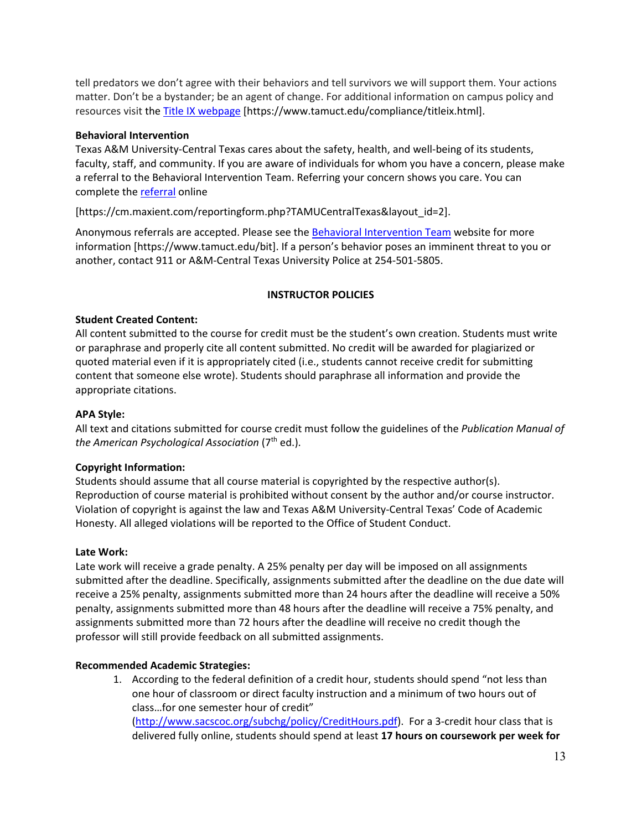tell predators we don't agree with their behaviors and tell survivors we will support them. Your actions matter. Don't be a bystander; be an agent of change. For additional information on campus policy and resources visit the [Title IX webpage](https://www.tamuct.edu/compliance/titleix.html) [\[https://www.tamuct.edu/compliance/titleix.html\]](https://www.tamuct.edu/compliance/titleix.html).

#### **Behavioral Intervention**

Texas A&M University-Central Texas cares about the safety, health, and well-being of its students, faculty, staff, and community. If you are aware of individuals for whom you have a concern, please make a referral to the Behavioral Intervention Team. Referring your concern shows you care. You can complete the [referral](https://cm.maxient.com/reportingform.php?TAMUCentralTexas&layout_id=2) online

[https://cm.maxient.com/reportingform.php?TAMUCentralTexas&layout\_id=2].

Anonymous referrals are accepted. Please see th[e Behavioral Intervention Team](https://www.tamuct.edu/bit) website for more information [https://www.tamuct.edu/bit]. If a person's behavior poses an imminent threat to you or another, contact 911 or A&M-Central Texas University Police at 254-501-5805.

### **INSTRUCTOR POLICIES**

# **Student Created Content:**

All content submitted to the course for credit must be the student's own creation. Students must write or paraphrase and properly cite all content submitted. No credit will be awarded for plagiarized or quoted material even if it is appropriately cited (i.e., students cannot receive credit for submitting content that someone else wrote). Students should paraphrase all information and provide the appropriate citations.

### **APA Style:**

All text and citations submitted for course credit must follow the guidelines of the *Publication Manual of the American Psychological Association* (7th ed.).

### **Copyright Information:**

Students should assume that all course material is copyrighted by the respective author(s). Reproduction of course material is prohibited without consent by the author and/or course instructor. Violation of copyright is against the law and Texas A&M University-Central Texas' Code of Academic Honesty. All alleged violations will be reported to the Office of Student Conduct.

### **Late Work:**

Late work will receive a grade penalty. A 25% penalty per day will be imposed on all assignments submitted after the deadline. Specifically, assignments submitted after the deadline on the due date will receive a 25% penalty, assignments submitted more than 24 hours after the deadline will receive a 50% penalty, assignments submitted more than 48 hours after the deadline will receive a 75% penalty, and assignments submitted more than 72 hours after the deadline will receive no credit though the professor will still provide feedback on all submitted assignments.

### **Recommended Academic Strategies:**

1. According to the federal definition of a credit hour, students should spend "not less than one hour of classroom or direct faculty instruction and a minimum of two hours out of class…for one semester hour of credit" [\(http://www.sacscoc.org/subchg/policy/CreditHours.pdf\)](http://www.sacscoc.org/subchg/policy/CreditHours.pdf). For a 3-credit hour class that is delivered fully online, students should spend at least **17 hours on coursework per week for**